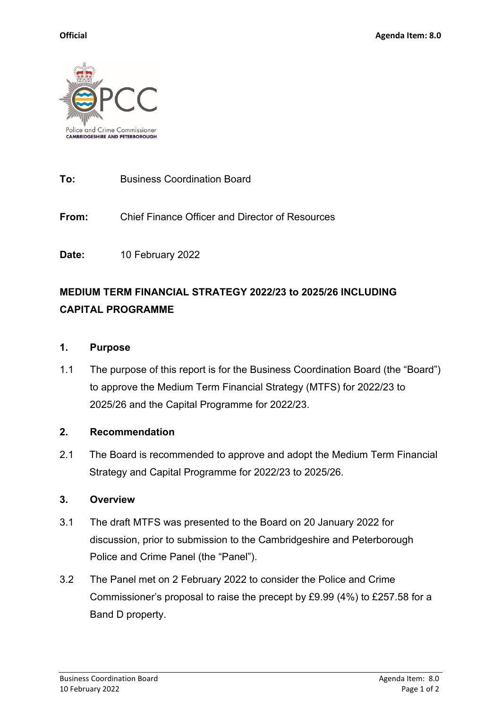

**To:** Business Coordination Board

**From:** Chief Finance Officer and Director of Resources

**Date:** 10 February 2022

# **MEDIUM TERM FINANCIAL STRATEGY 2022/23 to 2025/26 INCLUDING CAPITAL PROGRAMME**

#### **1. Purpose**

1.1 The purpose of this report is for the Business Coordination Board (the "Board") to approve the Medium Term Financial Strategy (MTFS) for 2022/23 to 2025/26 and the Capital Programme for 2022/23.

### **2. Recommendation**

2.1 The Board is recommended to approve and adopt the Medium Term Financial Strategy and Capital Programme for 2022/23 to 2025/26.

### **3. Overview**

- 3.1 The draft MTFS was presented to the Board on 20 January 2022 for discussion, prior to submission to the Cambridgeshire and Peterborough Police and Crime Panel (the "Panel").
- 3.2 The Panel met on 2 February 2022 to consider the Police and Crime Commissioner's proposal to raise the precept by £9.99 (4%) to £257.58 for a Band D property.